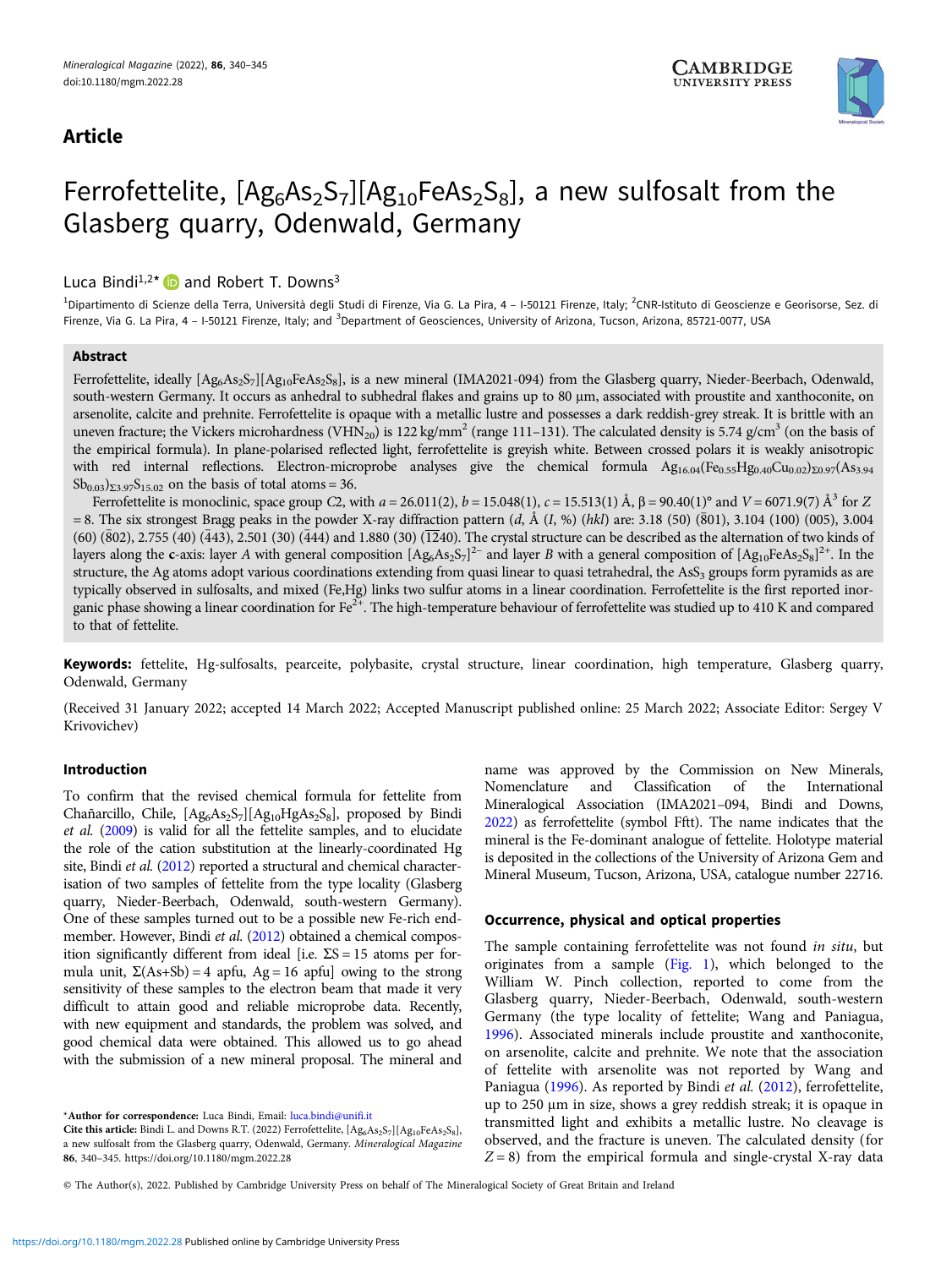## Article



# Ferrofettelite,  $[Ag_6As_2S_7][Ag_{10}FeAs_2S_8]$ , a new sulfosalt from the Glasberg quarry, Odenwald, Germany

### Luca Bindi<sup>1,2\*</sup>  $\bullet$  and Robert T. Downs<sup>3</sup>

<sup>1</sup>Dipartimento di Scienze della Terra, Università degli Studi di Firenze, Via G. La Pira, 4 – I-50121 Firenze, Italy; <sup>2</sup>CNR-Istituto di Geoscienze e Georisorse, Sez. di Firenze, Via G. La Pira, 4 - I-50121 Firenze, Italy; and <sup>3</sup>Department of Geosciences, University of Arizona, Tucson, Arizona, 85721-0077, USA

#### Abstract

Ferrofettelite, ideally  $[Ag_6A s_5S_7][Ag_{10}FeAs_5S_8]$ , is a new mineral (IMA2021-094) from the Glasberg quarry, Nieder-Beerbach, Odenwald, south-western Germany. It occurs as anhedral to subhedral flakes and grains up to 80 μm, associated with proustite and xanthoconite, on arsenolite, calcite and prehnite. Ferrofettelite is opaque with a metallic lustre and possesses a dark reddish-grey streak. It is brittle with an uneven fracture; the Vickers microhardness (VHN<sub>20</sub>) is 122 kg/mm<sup>2</sup> (range 111-131). The calculated density is 5.74 g/cm<sup>3</sup> (on the basis of the empirical formula). In plane-polarised reflected light, ferrofettelite is greyish white. Between crossed polars it is weakly anisotropic with red internal reflections. Electron-microprobe analyses give the chemical formula  $Ag_{16.04}(Fe_{0.55}Hg_{0.40}Cu_{0.02})_{\Sigma 0.97}(As_{3.94}$  $Sb_{0.03}$ )<sub>Σ3.97</sub>S<sub>15.02</sub> on the basis of total atoms = 36.

Ferrofettelite is monoclinic, space group C2, with  $a = 26.011(2)$ ,  $b = 15.048(1)$ ,  $c = 15.513(1)$  Å,  $β = 90.40(1)°$  and  $V = 6071.9(7)$  Å<sup>3</sup> for Z  $= 8$ . The six strongest Bragg peaks in the powder X-ray diffraction pattern (d, Å(I, %) (hkl) are: 3.18 (50) (801), 3.104 (100) (005), 3.004  $(60)$   $(\bar{8}02)$ , 2.755 (40)  $(\bar{4}43)$ , 2.501 (30)  $(\bar{4}44)$  and 1.880 (30)  $(\bar{12}40)$ . The crystal structure can be described as the alternation of two kinds of layers along the **c**-axis: layer A with general composition  $[Ag_6As_2S_7]^2$  and layer B with a general composition of  $[Ag_{10}FeAs_2S_8]^{2+}$ . In the structure, the Ag atoms adopt various coordinations extending from quasi linear to quasi tetrahedral, the  $\text{As}_3$  groups form pyramids as are typically observed in sulfosalts, and mixed (Fe,Hg) links two sulfur atoms in a linear coordination. Ferrofettelite is the first reported inorganic phase showing a linear coordination for  $Fe^{2+}$ . The high-temperature behaviour of ferrofettelite was studied up to 410 K and compared to that of fettelite.

Keywords: fettelite, Hg-sulfosalts, pearceite, polybasite, crystal structure, linear coordination, high temperature, Glasberg quarry, Odenwald, Germany

(Received 31 January 2022; accepted 14 March 2022; Accepted Manuscript published online: 25 March 2022; Associate Editor: Sergey V Krivovichev)

#### Introduction

To confirm that the revised chemical formula for fettelite from Chañarcillo, Chile,  $[Ag<sub>6</sub>As<sub>2</sub>S<sub>7</sub>][Ag<sub>10</sub>HgAs<sub>2</sub>S<sub>8</sub>],$  proposed by Bindi et al. [\(2009](#page-5-0)) is valid for all the fettelite samples, and to elucidate the role of the cation substitution at the linearly-coordinated Hg site, Bindi et al. [\(2012\)](#page-5-0) reported a structural and chemical characterisation of two samples of fettelite from the type locality (Glasberg quarry, Nieder-Beerbach, Odenwald, south-western Germany). One of these samples turned out to be a possible new Fe-rich endmember. However, Bindi et al. ([2012](#page-5-0)) obtained a chemical composition significantly different from ideal [i.e.  $\Sigma S = 15$  atoms per formula unit,  $\Sigma(As+Sb) = 4$  apfu,  $Ag = 16$  apfu] owing to the strong sensitivity of these samples to the electron beam that made it very difficult to attain good and reliable microprobe data. Recently, with new equipment and standards, the problem was solved, and good chemical data were obtained. This allowed us to go ahead with the submission of a new mineral proposal. The mineral and

\*Author for correspondence: Luca Bindi, Email: [luca.bindi@unifi.it](mailto:luca.bindi@unifi.it)

Cite this article: Bindi L. and Downs R.T. (2022) Ferrofettelite,  $[Ag_6As_2S_7][Ag_{10}FeAs_2S_8]$ , a new sulfosalt from the Glasberg quarry, Odenwald, Germany. Mineralogical Magazine 86, 340–345.<https://doi.org/10.1180/mgm.2022.28>

name was approved by the Commission on New Minerals, Nomenclature and Classification of the International Mineralogical Association (IMA2021–094, Bindi and Downs, [2022\)](#page-5-0) as ferrofettelite (symbol Fftt). The name indicates that the mineral is the Fe-dominant analogue of fettelite. Holotype material is deposited in the collections of the University of Arizona Gem and Mineral Museum, Tucson, Arizona, USA, catalogue number 22716.

#### Occurrence, physical and optical properties

The sample containing ferrofettelite was not found in situ, but originates from a sample  $(Fig, 1)$ , which belonged to the William W. Pinch collection, reported to come from the Glasberg quarry, Nieder-Beerbach, Odenwald, south-western Germany (the type locality of fettelite; Wang and Paniagua, [1996\)](#page-5-0). Associated minerals include proustite and xanthoconite, on arsenolite, calcite and prehnite. We note that the association of fettelite with arsenolite was not reported by Wang and Paniagua ([1996](#page-5-0)). As reported by Bindi et al. ([2012](#page-5-0)), ferrofettelite, up to 250 μm in size, shows a grey reddish streak; it is opaque in transmitted light and exhibits a metallic lustre. No cleavage is observed, and the fracture is uneven. The calculated density (for  $Z = 8$ ) from the empirical formula and single-crystal X-ray data

© The Author(s), 2022. Published by Cambridge University Press on behalf of The Mineralogical Society of Great Britain and Ireland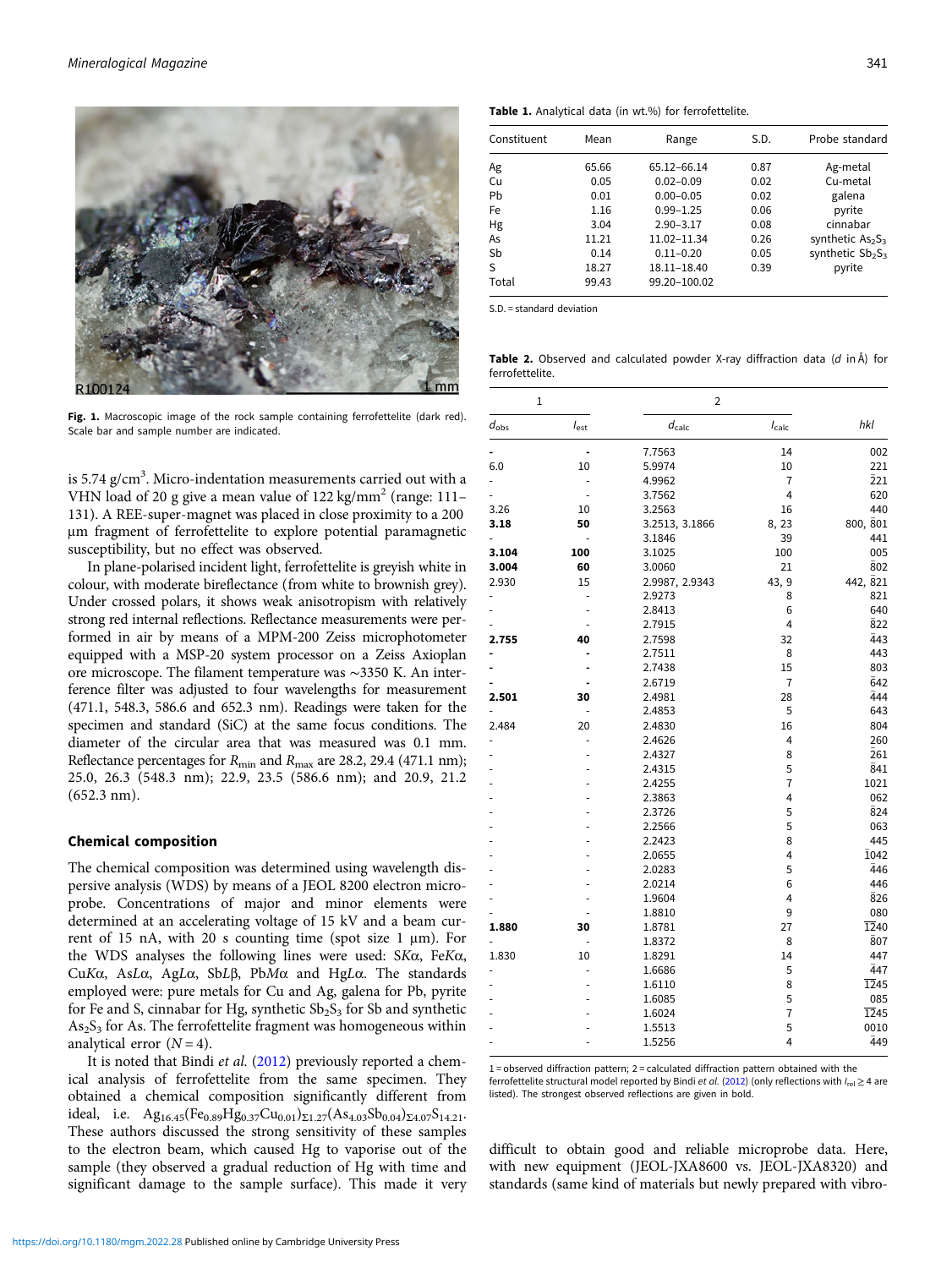<span id="page-1-0"></span>

Fig. 1. Macroscopic image of the rock sample containing ferrofettelite (dark red). Scale bar and sample number are indicated.

is 5.74  $\rm g/cm^3$ . Micro-indentation measurements carried out with a VHN load of 20 g give a mean value of  $122 \text{ kg/mm}^2$  (range: 111– 131). A REE-super-magnet was placed in close proximity to a 200 μm fragment of ferrofettelite to explore potential paramagnetic susceptibility, but no effect was observed.

In plane-polarised incident light, ferrofettelite is greyish white in colour, with moderate bireflectance (from white to brownish grey). Under crossed polars, it shows weak anisotropism with relatively strong red internal reflections. Reflectance measurements were performed in air by means of a MPM-200 Zeiss microphotometer equipped with a MSP-20 system processor on a Zeiss Axioplan ore microscope. The filament temperature was ∼3350 K. An interference filter was adjusted to four wavelengths for measurement (471.1, 548.3, 586.6 and 652.3 nm). Readings were taken for the specimen and standard (SiC) at the same focus conditions. The diameter of the circular area that was measured was 0.1 mm. Reflectance percentages for  $R_{\text{min}}$  and  $R_{\text{max}}$  are 28.2, 29.4 (471.1 nm); 25.0, 26.3 (548.3 nm); 22.9, 23.5 (586.6 nm); and 20.9, 21.2 (652.3 nm).

#### Chemical composition

The chemical composition was determined using wavelength dispersive analysis (WDS) by means of a JEOL 8200 electron microprobe. Concentrations of major and minor elements were determined at an accelerating voltage of 15 kV and a beam current of 15 nA, with 20 s counting time (spot size 1  $\mu$ m). For the WDS analyses the following lines were used: SKα, FeKα, CuKα, AsLα, AgLα, SbLβ, PbMα and HgLα. The standards employed were: pure metals for Cu and Ag, galena for Pb, pyrite for Fe and S, cinnabar for Hg, synthetic  $Sb_2S_3$  for Sb and synthetic  $As<sub>2</sub>S<sub>3</sub>$  for As. The ferrofettelite fragment was homogeneous within analytical error  $(N = 4)$ .

It is noted that Bindi et al. ([2012](#page-5-0)) previously reported a chemical analysis of ferrofettelite from the same specimen. They obtained a chemical composition significantly different from ideal, i.e.  $Ag_{16.45}(Fe_{0.89}Hg_{0.37}Cu_{0.01})_{\Sigma1.27}(As_{4.03}Sb_{0.04})_{\Sigma4.07}S_{14.21}.$ These authors discussed the strong sensitivity of these samples to the electron beam, which caused Hg to vaporise out of the sample (they observed a gradual reduction of Hg with time and significant damage to the sample surface). This made it very

Table 1. Analytical data (in wt.%) for ferrofettelite.

| Constituent | Mean  | Range         | S.D. | Probe standard      |
|-------------|-------|---------------|------|---------------------|
| Ag          | 65.66 | 65.12-66.14   | 0.87 | Ag-metal            |
| Cu          | 0.05  | $0.02 - 0.09$ | 0.02 | Cu-metal            |
| Pb          | 0.01  | $0.00 - 0.05$ | 0.02 | galena              |
| Fe          | 1.16  | $0.99 - 1.25$ | 0.06 | pyrite              |
| Hg          | 3.04  | $2.90 - 3.17$ | 0.08 | cinnabar            |
| As          | 11.21 | 11.02-11.34   | 0.26 | synthetic $As_2S_3$ |
| Sb          | 0.14  | $0.11 - 0.20$ | 0.05 | synthetic $Sb_2S_3$ |
| S           | 18.27 | 18.11-18.40   | 0.39 | pyrite              |
| Total       | 99.43 | 99.20-100.02  |      |                     |

S.D. = standard deviation

Table 2. Observed and calculated powder X-ray diffraction data  $(d \text{ in } A)$  for ferrofettelite.

| 1                |           | 2              |                |             |
|------------------|-----------|----------------|----------------|-------------|
| $d_{\text{obs}}$ | $I_{est}$ | $d_{calc}$     | $I_{calc}$     | hkl         |
|                  |           | 7.7563         | 14             | 002         |
| 6.0              | 10        | 5.9974         | 10             | 221         |
|                  |           | 4.9962         | 7              | 221         |
|                  | ä,        | 3.7562         | $\overline{4}$ | 620         |
| 3.26             | 10        | 3.2563         | 16             | 440         |
| 3.18             | 50        | 3.2513, 3.1866 | 8, 23          | 800, 801    |
|                  |           | 3.1846         | 39             | 441         |
| 3.104            | 100       | 3.1025         | 100            | 005         |
| 3.004            | 60        | 3.0060         | 21             | 802         |
| 2.930            | 15        | 2.9987, 2.9343 | 43, 9          | 442, 821    |
|                  |           | 2.9273         | 8              | 821         |
|                  |           | 2.8413         | 6              | 640         |
|                  |           | 2.7915         | 4              | 822         |
| 2.755            | 40        | 2.7598         | 32             | 443         |
|                  |           | 2.7511         | 8              | 443         |
|                  |           | 2.7438         | 15             | 803         |
|                  |           | 2.6719         | 7              | 642         |
| 2.501            | 30        | 2.4981         | 28             | 444         |
|                  |           | 2.4853         | 5              | 643         |
| 2.484            | 20        | 2.4830         | 16             | 804         |
|                  |           | 2.4626         | 4              | 260         |
|                  |           | 2.4327         | 8              | 261         |
|                  |           | 2.4315         | 5              | 841         |
|                  |           | 2.4255         | $\overline{7}$ | 1021        |
|                  |           | 2.3863         | 4              | 062         |
|                  |           | 2.3726         | 5              | $\bar{8}24$ |
|                  |           | 2.2566         | 5              | 063         |
|                  |           | 2.2423         | 8              | 445         |
|                  |           | 2.0655         | 4              | 1042        |
|                  |           | 2.0283         | 5              | 446         |
|                  |           | 2.0214         | 6              | 446         |
|                  |           | 1.9604         | 4              | 826         |
|                  |           | 1.8810         | 9              | 080         |
| 1.880            | 30        | 1.8781         | 27             | 1240        |
|                  |           | 1.8372         | 8              | 807         |
| 1.830            | 10        | 1.8291         | 14             | 447         |
|                  |           | 1.6686         | 5              | 447         |
|                  |           | 1.6110         | 8              | 1245        |
|                  |           | 1.6085         | 5              | 085         |
|                  |           | 1.6024         | 7              | 1245        |
|                  |           | 1.5513         | 5              | 0010        |
|                  |           | 1.5256         | 4              | 449         |
|                  |           |                |                |             |

1 = observed diffraction pattern; 2 = calculated diffraction pattern obtained with the ferrofettelite structural model reported by Bindi et al. ([2012\)](#page-5-0) (only reflections with  $I_{rel} \geq 4$  are listed). The strongest observed reflections are given in bold.

difficult to obtain good and reliable microprobe data. Here, with new equipment (JEOL-JXA8600 vs. JEOL-JXA8320) and standards (same kind of materials but newly prepared with vibro-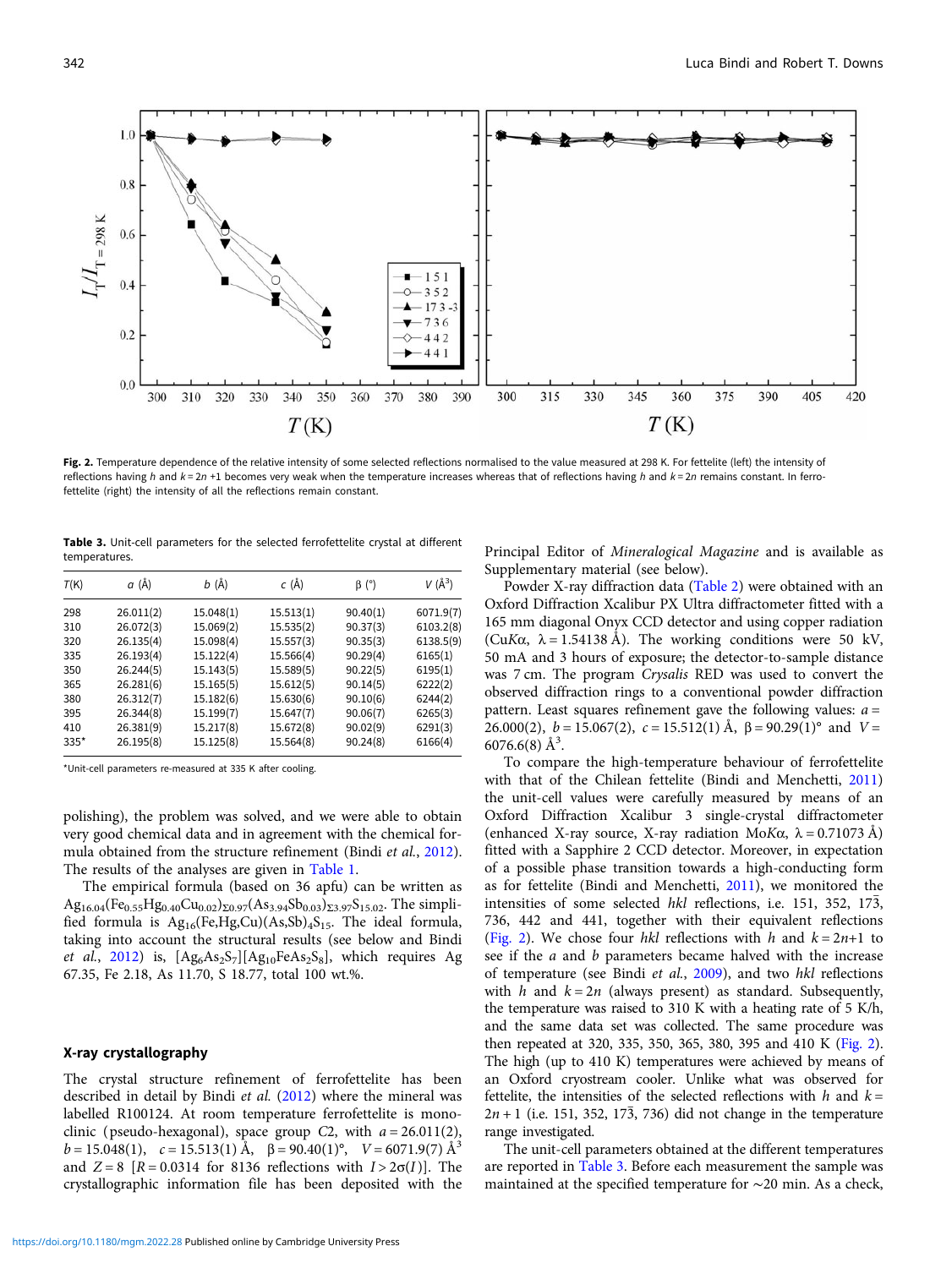Fig. 2. Temperature dependence of the relative intensity of some selected reflections normalised to the value measured at 298 K. For fettelite (left) the intensity of reflections having h and  $k = 2n + 1$  becomes very weak when the temperature increases whereas that of reflections having h and  $k = 2n$  remains constant. In ferrofettelite (right) the intensity of all the reflections remain constant.

Table 3. Unit-cell parameters for the selected ferrofettelite crystal at different temperatures.

| T(K) | $a(\AA)$  | $b(\AA)$  | c (Å)     | $\beta$ (°) | $V(\AA^3)$ |
|------|-----------|-----------|-----------|-------------|------------|
| 298  | 26.011(2) | 15.048(1) | 15.513(1) | 90.40(1)    | 6071.9(7)  |
| 310  | 26.072(3) | 15.069(2) | 15.535(2) | 90.37(3)    | 6103.2(8)  |
| 320  | 26.135(4) | 15.098(4) | 15.557(3) | 90.35(3)    | 6138.5(9)  |
| 335  | 26.193(4) | 15.122(4) | 15.566(4) | 90.29(4)    | 6165(1)    |
| 350  | 26.244(5) | 15.143(5) | 15.589(5) | 90.22(5)    | 6195(1)    |
| 365  | 26.281(6) | 15.165(5) | 15.612(5) | 90.14(5)    | 6222(2)    |
| 380  | 26.312(7) | 15.182(6) | 15.630(6) | 90.10(6)    | 6244(2)    |
| 395  | 26.344(8) | 15.199(7) | 15.647(7) | 90.06(7)    | 6265(3)    |
| 410  | 26.381(9) | 15.217(8) | 15.672(8) | 90.02(9)    | 6291(3)    |
| 335* | 26.195(8) | 15.125(8) | 15.564(8) | 90.24(8)    | 6166(4)    |

\*Unit-cell parameters re-measured at 335 K after cooling.

polishing), the problem was solved, and we were able to obtain very good chemical data and in agreement with the chemical for-mula obtained from the structure refinement (Bindi et al., [2012\)](#page-5-0). The results of the analyses are given in [Table 1](#page-1-0).

The empirical formula (based on 36 apfu) can be written as  $Ag_{16.04}(Fe_{0.55}Hg_{0.40}Cu_{0.02})_{\Sigma 0.97}(As_{3.94}Sb_{0.03})_{\Sigma 3.97}S_{15.02}$ . The simplified formula is  $Ag_{16}(Fe,Hg,Cu)(As,Sb)<sub>4</sub>S<sub>15</sub>$ . The ideal formula, taking into account the structural results (see below and Bindi et al., [2012](#page-5-0)) is,  $[Ag<sub>6</sub>As<sub>2</sub>S<sub>7</sub>][Ag<sub>10</sub>FeAs<sub>2</sub>S<sub>8</sub>],$  which requires Ag 67.35, Fe 2.18, As 11.70, S 18.77, total 100 wt.%.

#### X-ray crystallography

The crystal structure refinement of ferrofettelite has been described in detail by Bindi et al. [\(2012\)](#page-5-0) where the mineral was labelled R100124. At room temperature ferrofettelite is monoclinic (pseudo-hexagonal), space group C2, with  $a = 26.011(2)$ ,  $b = 15.048(1)$ ,  $c = 15.513(1)$  Å,  $\beta = 90.40(1)$ °,  $V = 6071.9(7)$  Å<sup>3</sup> and  $Z = 8$  [R = 0.0314 for 8136 reflections with  $I > 2\sigma(I)$ ]. The crystallographic information file has been deposited with the Principal Editor of Mineralogical Magazine and is available as Supplementary material (see below).

Powder X-ray diffraction data [\(Table 2](#page-1-0)) were obtained with an Oxford Diffraction Xcalibur PX Ultra diffractometer fitted with a 165 mm diagonal Onyx CCD detector and using copper radiation (CuK $\alpha$ ,  $\lambda$  = 1.54138 Å). The working conditions were 50 kV, 50 mA and 3 hours of exposure; the detector-to-sample distance was 7 cm. The program Crysalis RED was used to convert the observed diffraction rings to a conventional powder diffraction pattern. Least squares refinement gave the following values:  $a =$ 26.000(2),  $b = 15.067(2)$ ,  $c = 15.512(1)$  Å,  $\beta = 90.29(1)$ ° and  $V =$  $6076.6(8)$  Å<sup>3</sup>.

To compare the high-temperature behaviour of ferrofettelite with that of the Chilean fettelite (Bindi and Menchetti, [2011](#page-5-0)) the unit-cell values were carefully measured by means of an Oxford Diffraction Xcalibur 3 single-crystal diffractometer (enhanced X-ray source, X-ray radiation MoK $\alpha$ ,  $\lambda = 0.71073 \text{ Å}$ ) fitted with a Sapphire 2 CCD detector. Moreover, in expectation of a possible phase transition towards a high-conducting form as for fettelite (Bindi and Menchetti, [2011\)](#page-5-0), we monitored the intensities of some selected hkl reflections, i.e. 151, 352, 173, 736, 442 and 441, together with their equivalent reflections (Fig. 2). We chose four hkl reflections with h and  $k = 2n+1$  to see if the *a* and *b* parameters became halved with the increase of temperature (see Bindi et al., [2009](#page-5-0)), and two hkl reflections with h and  $k = 2n$  (always present) as standard. Subsequently, the temperature was raised to 310 K with a heating rate of 5 K/h, and the same data set was collected. The same procedure was then repeated at 320, 335, 350, 365, 380, 395 and 410 K (Fig. 2). The high (up to 410 K) temperatures were achieved by means of an Oxford cryostream cooler. Unlike what was observed for fettelite, the intensities of the selected reflections with  $h$  and  $k =$  $2n + 1$  (i.e. 151, 352, 173, 736) did not change in the temperature range investigated.

The unit-cell parameters obtained at the different temperatures are reported in Table 3. Before each measurement the sample was maintained at the specified temperature for ∼20 min. As a check,

<span id="page-2-0"></span>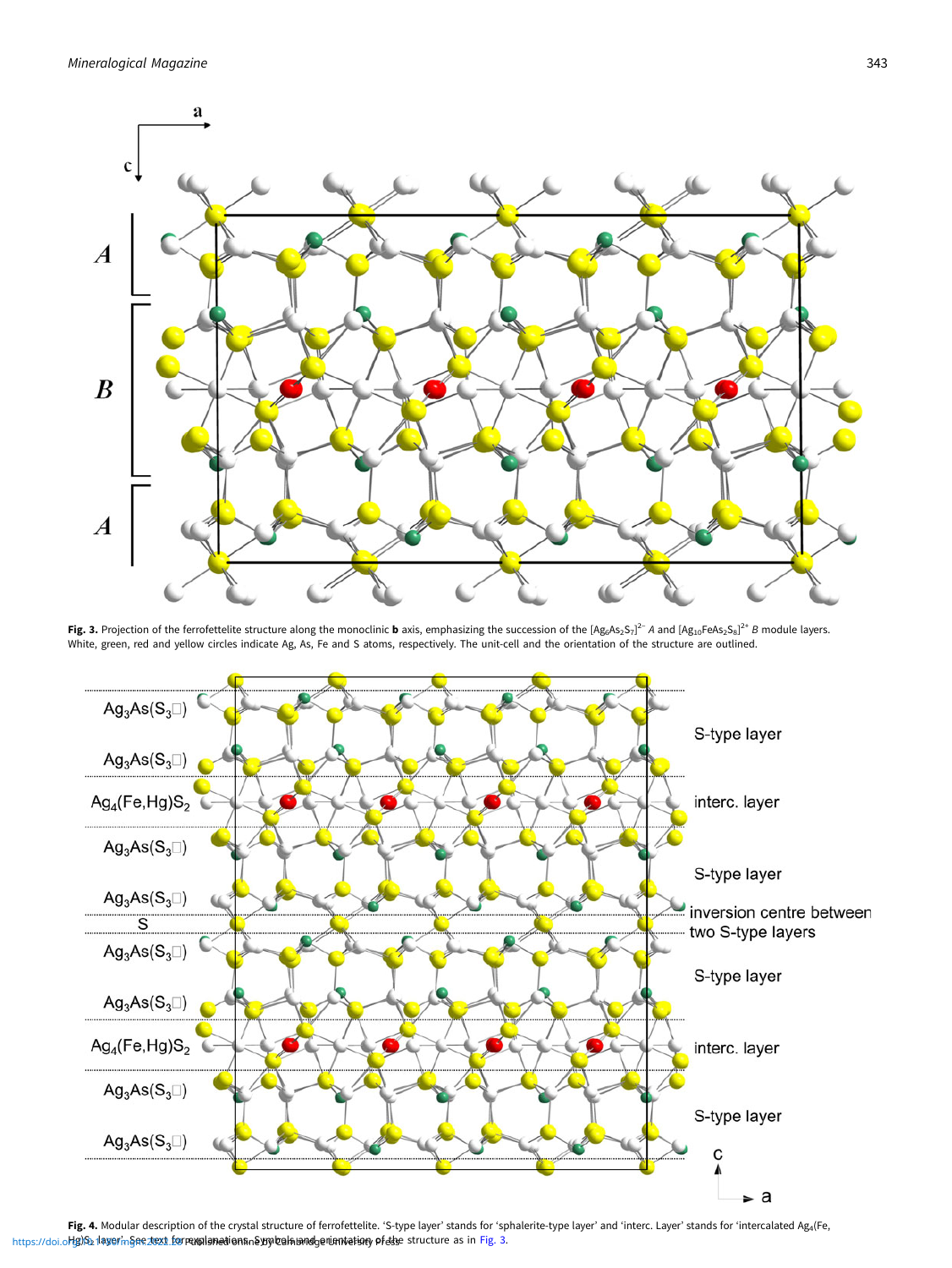<span id="page-3-0"></span>

Fig. 3. Projection of the ferrofettelite structure along the monoclinic **b** axis, emphasizing the succession of the  $[Ag_6As_2S_7]^2$ <sup>-</sup> A and  $[Ag_{10}FeAs_2S_8]^{2+}$  B module layers. White, green, red and yellow circles indicate Ag, As, Fe and S atoms, respectively. The unit-cell and the orientation of the structure are outlined.



Fig. 4. Modular description of the crystal structure of ferrofettelite. 'S-type layer' stands for 'sphalerite-type layer' and 'interc. Layer' stands for 'intercalated Ag4(Fe, https://doi.org/Sb21layerin§ee.zlext\_forrewplemedienfin&ygylcelfalandgenient/etionypfeldse structure as in Fig. 3.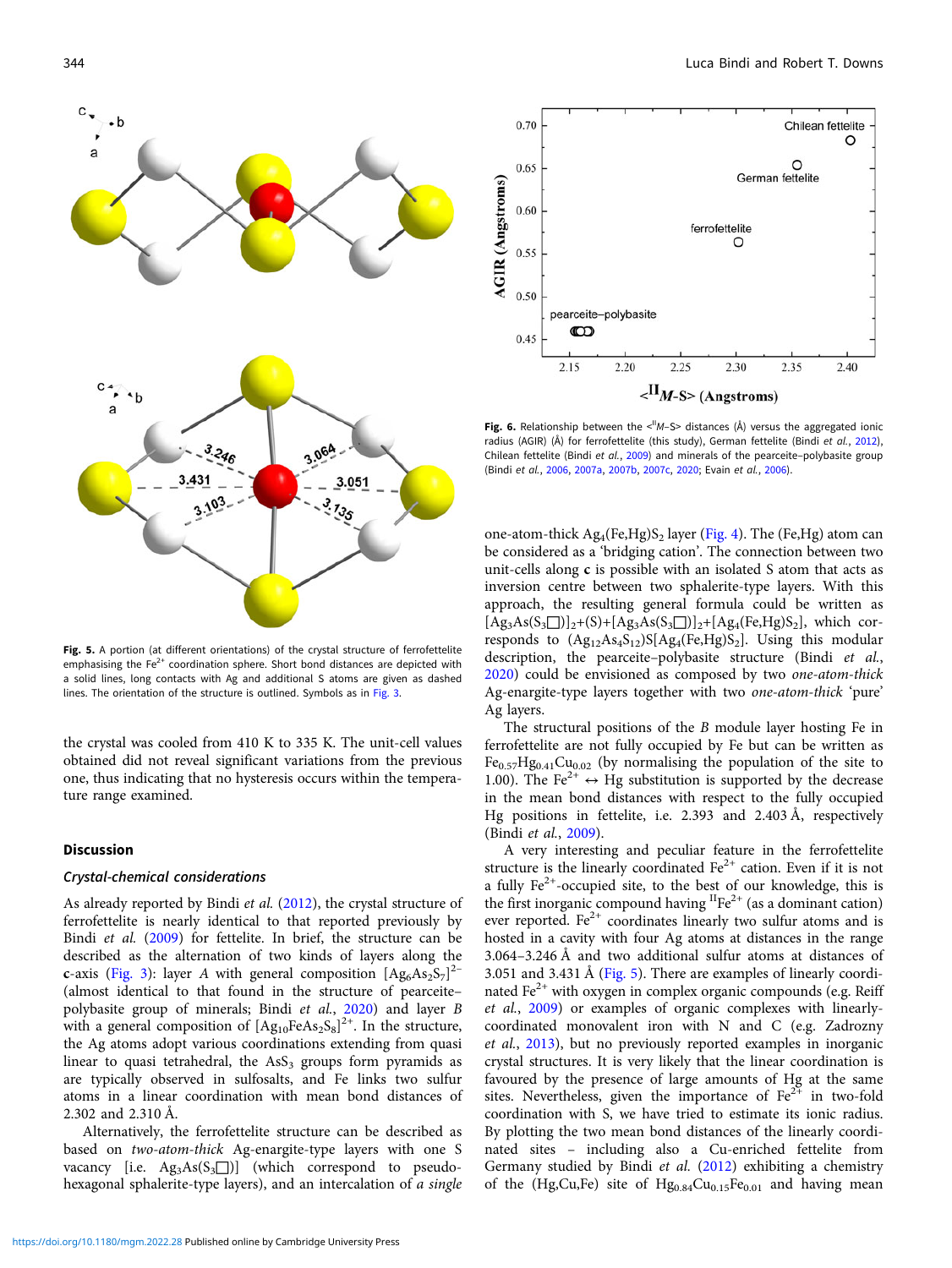<span id="page-4-0"></span>

Fig. 5. A portion (at different orientations) of the crystal structure of ferrofettelite emphasising the  $Fe<sup>2+</sup>$  coordination sphere. Short bond distances are depicted with a solid lines, long contacts with Ag and additional S atoms are given as dashed lines. The orientation of the structure is outlined. Symbols as in [Fig. 3.](#page-3-0)

the crystal was cooled from 410 K to 335 K. The unit-cell values obtained did not reveal significant variations from the previous one, thus indicating that no hysteresis occurs within the temperature range examined.

#### **Discussion**

#### Crystal-chemical considerations

As already reported by Bindi et al. [\(2012](#page-5-0)), the crystal structure of ferrofettelite is nearly identical to that reported previously by Bindi et al. [\(2009\)](#page-5-0) for fettelite. In brief, the structure can be described as the alternation of two kinds of layers along the c-axis [\(Fig. 3](#page-3-0)): layer A with general composition  $[Ag_6As_2S_7]^{2-}$ (almost identical to that found in the structure of pearceite– polybasite group of minerals; Bindi et al., [2020](#page-5-0)) and layer B with a general composition of  $[Ag_{10}FeAs_2S_8]^{2+}$ . In the structure, the Ag atoms adopt various coordinations extending from quasi linear to quasi tetrahedral, the  $\text{AsS}_3$  groups form pyramids as are typically observed in sulfosalts, and Fe links two sulfur atoms in a linear coordination with mean bond distances of 2.302 and 2.310 Å.

Alternatively, the ferrofettelite structure can be described as based on two-atom-thick Ag-enargite-type layers with one S vacancy [i.e.  $\text{Ag}_3\text{As}(S_3 \Box)$ ] (which correspond to pseudohexagonal sphalerite-type layers), and an intercalation of a single



Fig. 6. Relationship between the  $\langle N - S \rangle$  distances (Å) versus the aggregated ionic radius (AGIR) (Å) for ferrofettelite (this study), German fettelite (Bindi et al., [2012\)](#page-5-0), Chilean fettelite (Bindi et al., [2009\)](#page-5-0) and minerals of the pearceite–polybasite group (Bindi et al., [2006,](#page-5-0) [2007a](#page-5-0), [2007b,](#page-5-0) [2007c](#page-5-0), [2020](#page-5-0); Evain et al., [2006](#page-5-0)).

one-atom-thick  $Ag_4(Fe,Hg)S_2$  layer [\(Fig. 4](#page-3-0)). The (Fe,Hg) atom can be considered as a 'bridging cation'. The connection between two unit-cells along c is possible with an isolated S atom that acts as inversion centre between two sphalerite-type layers. With this approach, the resulting general formula could be written as  $[Ag_3As(S_3\Box)]_2+(S) + [Ag_3As(S_3\Box)]_2 + [Ag_4(Fe,Hg)S_2]$ , which corresponds to  $(Ag_{12}As_4S_{12})S[Ag_4(Fe,Hg)S_2]$ . Using this modular description, the pearceite-polybasite structure (Bindi et al., [2020\)](#page-5-0) could be envisioned as composed by two one-atom-thick Ag-enargite-type layers together with two one-atom-thick 'pure' Ag layers.

The structural positions of the B module layer hosting Fe in ferrofettelite are not fully occupied by Fe but can be written as  $Fe<sub>0.57</sub>Hg<sub>0.41</sub>Cu<sub>0.02</sub>$  (by normalising the population of the site to 1.00). The Fe<sup>2+</sup>  $\leftrightarrow$  Hg substitution is supported by the decrease in the mean bond distances with respect to the fully occupied Hg positions in fettelite, i.e. 2.393 and 2.403 Å, respectively (Bindi et al., [2009\)](#page-5-0).

A very interesting and peculiar feature in the ferrofettelite structure is the linearly coordinated  $Fe^{2+}$  cation. Even if it is not a fully  $Fe^{2+}$ -occupied site, to the best of our knowledge, this is the first inorganic compound having  ${}^{II}Fe^{2+}$  (as a dominant cation) ever reported.  $Fe^{2+}$  coordinates linearly two sulfur atoms and is hosted in a cavity with four Ag atoms at distances in the range 3.064–3.246 Å and two additional sulfur atoms at distances of 3.051 and 3.431 Å (Fig. 5). There are examples of linearly coordinated  $Fe<sup>2+</sup>$  with oxygen in complex organic compounds (e.g. Reiff et al., [2009](#page-5-0)) or examples of organic complexes with linearlycoordinated monovalent iron with N and C (e.g. Zadrozny et al., [2013](#page-5-0)), but no previously reported examples in inorganic crystal structures. It is very likely that the linear coordination is favoured by the presence of large amounts of Hg at the same sites. Nevertheless, given the importance of  $Fe^{2+}$  in two-fold coordination with S, we have tried to estimate its ionic radius. By plotting the two mean bond distances of the linearly coordinated sites – including also a Cu-enriched fettelite from Germany studied by Bindi et al. ([2012](#page-5-0)) exhibiting a chemistry of the (Hg,Cu,Fe) site of  $Hg_{0.84}Cu_{0.15}Fe_{0.01}$  and having mean